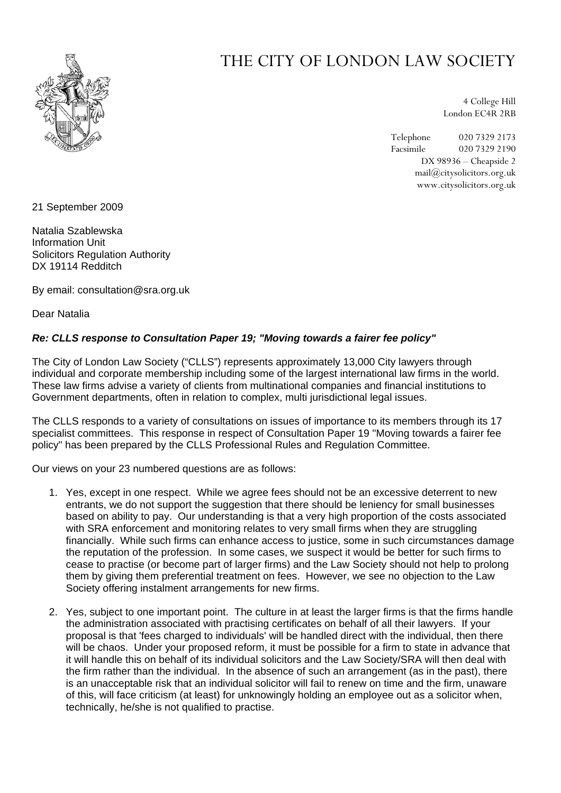

## THE CITY OF LONDON LAW SOCIETY

4 College Hill London EC4R 2RB

Telephone 020 7329 2173 Facsimile 020 7329 2190 DX 98936 – Cheapside 2 mail@citysolicitors.org.uk www.citysolicitors.org.uk

21 September 2009

Natalia Szablewska Information Unit Solicitors Regulation Authority DX 19114 Redditch

By email: consultation@sra.org.uk

Dear Natalia

## *Re: CLLS response to Consultation Paper 19; "Moving towards a fairer fee policy"*

The City of London Law Society ("CLLS") represents approximately 13,000 City lawyers through individual and corporate membership including some of the largest international law firms in the world. These law firms advise a variety of clients from multinational companies and financial institutions to Government departments, often in relation to complex, multi jurisdictional legal issues.

The CLLS responds to a variety of consultations on issues of importance to its members through its 17 specialist committees. This response in respect of Consultation Paper 19 "Moving towards a fairer fee policy" has been prepared by the CLLS Professional Rules and Regulation Committee.

Our views on your 23 numbered questions are as follows:

- 1. Yes, except in one respect. While we agree fees should not be an excessive deterrent to new entrants, we do not support the suggestion that there should be leniency for small businesses based on ability to pay. Our understanding is that a very high proportion of the costs associated with SRA enforcement and monitoring relates to very small firms when they are struggling financially. While such firms can enhance access to justice, some in such circumstances damage the reputation of the profession. In some cases, we suspect it would be better for such firms to cease to practise (or become part of larger firms) and the Law Society should not help to prolong them by giving them preferential treatment on fees. However, we see no objection to the Law Society offering instalment arrangements for new firms.
- 2. Yes, subject to one important point. The culture in at least the larger firms is that the firms handle the administration associated with practising certificates on behalf of all their lawyers. If your proposal is that 'fees charged to individuals' will be handled direct with the individual, then there will be chaos. Under your proposed reform, it must be possible for a firm to state in advance that it will handle this on behalf of its individual solicitors and the Law Society/SRA will then deal with the firm rather than the individual. In the absence of such an arrangement (as in the past), there is an unacceptable risk that an individual solicitor will fail to renew on time and the firm, unaware of this, will face criticism (at least) for unknowingly holding an employee out as a solicitor when, technically, he/she is not qualified to practise.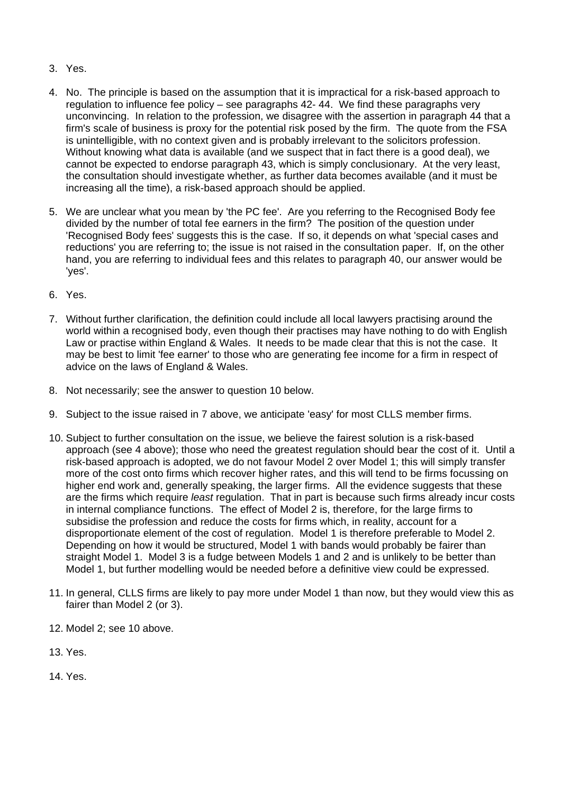- 3. Yes.
- 4. No. The principle is based on the assumption that it is impractical for a risk-based approach to regulation to influence fee policy – see paragraphs 42- 44. We find these paragraphs very unconvincing. In relation to the profession, we disagree with the assertion in paragraph 44 that a firm's scale of business is proxy for the potential risk posed by the firm. The quote from the FSA is unintelligible, with no context given and is probably irrelevant to the solicitors profession. Without knowing what data is available (and we suspect that in fact there is a good deal), we cannot be expected to endorse paragraph 43, which is simply conclusionary. At the very least, the consultation should investigate whether, as further data becomes available (and it must be increasing all the time), a risk-based approach should be applied.
- 5. We are unclear what you mean by 'the PC fee'. Are you referring to the Recognised Body fee divided by the number of total fee earners in the firm? The position of the question under 'Recognised Body fees' suggests this is the case. If so, it depends on what 'special cases and reductions' you are referring to; the issue is not raised in the consultation paper. If, on the other hand, you are referring to individual fees and this relates to paragraph 40, our answer would be 'yes'.
- 6. Yes.
- 7. Without further clarification, the definition could include all local lawyers practising around the world within a recognised body, even though their practises may have nothing to do with English Law or practise within England & Wales. It needs to be made clear that this is not the case. It may be best to limit 'fee earner' to those who are generating fee income for a firm in respect of advice on the laws of England & Wales.
- 8. Not necessarily; see the answer to question 10 below.
- 9. Subject to the issue raised in 7 above, we anticipate 'easy' for most CLLS member firms.
- 10. Subject to further consultation on the issue, we believe the fairest solution is a risk-based approach (see 4 above); those who need the greatest regulation should bear the cost of it. Until a risk-based approach is adopted, we do not favour Model 2 over Model 1; this will simply transfer more of the cost onto firms which recover higher rates, and this will tend to be firms focussing on higher end work and, generally speaking, the larger firms. All the evidence suggests that these are the firms which require *least* regulation. That in part is because such firms already incur costs in internal compliance functions. The effect of Model 2 is, therefore, for the large firms to subsidise the profession and reduce the costs for firms which, in reality, account for a disproportionate element of the cost of regulation. Model 1 is therefore preferable to Model 2. Depending on how it would be structured, Model 1 with bands would probably be fairer than straight Model 1. Model 3 is a fudge between Models 1 and 2 and is unlikely to be better than Model 1, but further modelling would be needed before a definitive view could be expressed.
- 11. In general, CLLS firms are likely to pay more under Model 1 than now, but they would view this as fairer than Model 2 (or 3).
- 12. Model 2; see 10 above.
- 13. Yes.
- 14. Yes.